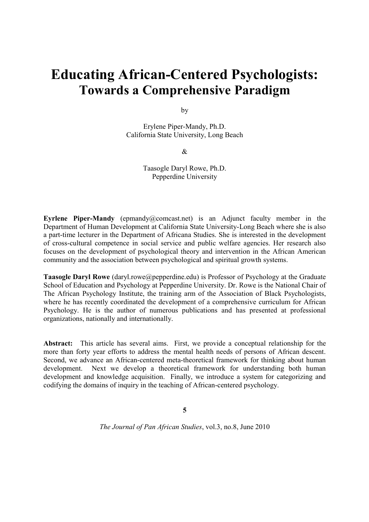# **Educating African-Centered Psychologists: Towards a Comprehensive Paradigm**

by

Erylene Piper-Mandy, Ph.D. California State University, Long Beach

&

Taasogle Daryl Rowe, Ph.D. Pepperdine University

**Eyrlene Piper-Mandy** (epmandy@comcast.net) is an Adjunct faculty member in the Department of Human Development at California State University-Long Beach where she is also a part-time lecturer in the Department of Africana Studies. She is interested in the development of cross-cultural competence in social service and public welfare agencies. Her research also focuses on the development of psychological theory and intervention in the African American community and the association between psychological and spiritual growth systems.

**Taasogle Daryl Rowe** (daryl.rowe@pepperdine.edu) is Professor of Psychology at the Graduate School of Education and Psychology at Pepperdine University. Dr. Rowe is the National Chair of The African Psychology Institute, the training arm of the Association of Black Psychologists, where he has recently coordinated the development of a comprehensive curriculum for African Psychology. He is the author of numerous publications and has presented at professional organizations, nationally and internationally.

**Abstract:** This article has several aims. First, we provide a conceptual relationship for the more than forty year efforts to address the mental health needs of persons of African descent. Second, we advance an African-centered meta-theoretical framework for thinking about human development. Next we develop a theoretical framework for understanding both human development and knowledge acquisition. Finally, we introduce a system for categorizing and codifying the domains of inquiry in the teaching of African-centered psychology.

**5**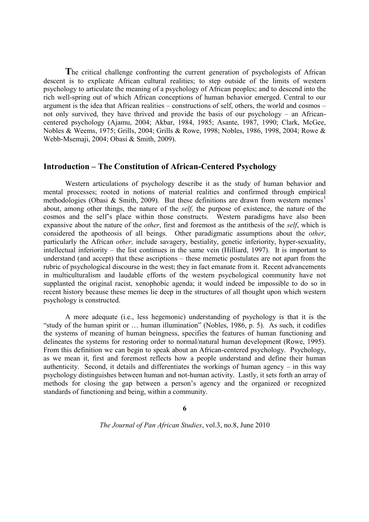**T**he critical challenge confronting the current generation of psychologists of African descent is to explicate African cultural realities; to step outside of the limits of western psychology to articulate the meaning of a psychology of African peoples; and to descend into the rich well-spring out of which African conceptions of human behavior emerged. Central to our argument is the idea that African realities – constructions of self, others, the world and cosmos – not only survived, they have thrived and provide the basis of our psychology – an Africancentered psychology (Ajamu, 2004; Akbar, 1984, 1985; Asante, 1987, 1990; Clark, McGee, Nobles & Weems, 1975; Grills, 2004; Grills & Rowe, 1998; Nobles, 1986, 1998, 2004; Rowe & Webb-Msemaji, 2004; Obasi & Smith, 2009).

## **Introduction – The Constitution of African-Centered Psychology**

Western articulations of psychology describe it as the study of human behavior and mental processes; rooted in notions of material realities and confirmed through empirical methodologies (Obasi & Smith, 2009). But these definitions are drawn from western memes<sup>1</sup> about, among other things, the nature of the *self,* the purpose of existence, the nature of the cosmos and the self's place within those constructs. Western paradigms have also been expansive about the nature of the *other*, first and foremost as the antithesis of the *self*, which is considered the apotheosis of all beings. Other paradigmatic assumptions about the *other*, particularly the African *other,* include savagery, bestiality, genetic inferiority, hyper-sexuality, intellectual inferiority – the list continues in the same vein (Hilliard, 1997). It is important to understand (and accept) that these ascriptions – these memetic postulates are not apart from the rubric of psychological discourse in the west; they in fact emanate from it. Recent advancements in multiculturalism and laudable efforts of the western psychological community have not supplanted the original racist, xenophobic agenda; it would indeed be impossible to do so in recent history because these memes lie deep in the structures of all thought upon which western psychology is constructed.

A more adequate (i.e., less hegemonic) understanding of psychology is that it is the "study of the human spirit or … human illumination" (Nobles, 1986, p. 5). As such, it codifies the systems of meaning of human beingness, specifies the features of human functioning and delineates the systems for restoring order to normal/natural human development (Rowe, 1995). From this definition we can begin to speak about an African-centered psychology. Psychology, as we mean it, first and foremost reflects how a people understand and define their human authenticity. Second, it details and differentiates the workings of human agency – in this way psychology distinguishes between human and not-human activity. Lastly, it sets forth an array of methods for closing the gap between a person's agency and the organized or recognized standards of functioning and being, within a community.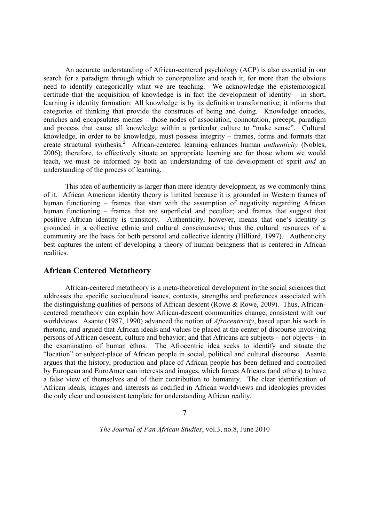An accurate understanding of African-centered psychology (ACP) is also essential in our search for a paradigm through which to conceptualize and teach it, for more than the obvious need to identify categorically what we are teaching. We acknowledge the epistemological certitude that the acquisition of knowledge is in fact the development of identity – in short, learning is identity formation: All knowledge is by its definition transformative; it informs that categories of thinking that provide the constructs of being and doing. Knowledge encodes, enriches and encapsulates memes – those nodes of association, connotation, precept, paradigm and process that cause all knowledge within a particular culture to "make sense". Cultural knowledge, in order to be knowledge, must possess integrity – frames, forms and formats that create structural synthesis.<sup>2</sup> African-centered learning enhances human *authenticity* (Nobles, 2006); therefore, to effectively situate an appropriate learning arc for those whom we would teach, we must be informed by both an understanding of the development of spirit *and* an understanding of the process of learning.

This idea of authenticity is larger than mere identity development, as we commonly think of it. African American identity theory is limited because it is grounded in Western frames of human functioning – frames that start with the assumption of negativity regarding African human functioning – frames that are superficial and peculiar; and frames that suggest that positive African identity is transitory. Authenticity, however, means that one's identity is grounded in a collective ethnic and cultural consciousness; thus the cultural resources of a community are the basis for both personal and collective identity (Hilliard, 1997). Authenticity best captures the intent of developing a theory of human beingness that is centered in African realities.

# **African Centered Metatheory**

African-centered metatheory is a meta-theoretical development in the social sciences that addresses the specific sociocultural issues, contexts, strengths and preferences associated with the distinguishing qualities of persons of African descent (Rowe & Rowe, 2009). Thus, Africancentered metatheory can explain how African-descent communities change, consistent with our worldviews. Asante (1987, 1990) advanced the notion of *Afrocentricity*, based upon his work in rhetoric, and argued that African ideals and values be placed at the center of discourse involving persons of African descent, culture and behavior; and that Africans are subjects – not objects – in the examination of human ethos. The Afrocentric idea seeks to identify and situate the "location" or subject-place of African people in social, political and cultural discourse. Asante argues that the history, production and place of African people has been defined and controlled by European and EuroAmerican interests and images, which forces Africans (and others) to have a false view of themselves and of their contribution to humanity. The clear identification of African ideals, images and interests as codified in African worldviews and ideologies provides the only clear and consistent template for understanding African reality.

**7**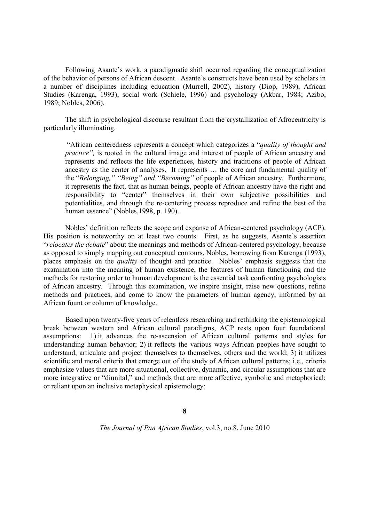Following Asante's work, a paradigmatic shift occurred regarding the conceptualization of the behavior of persons of African descent. Asante's constructs have been used by scholars in a number of disciplines including education (Murrell, 2002), history (Diop, 1989), African Studies (Karenga, 1993), social work (Schiele, 1996) and psychology (Akbar, 1984; Azibo, 1989; Nobles, 2006).

The shift in psychological discourse resultant from the crystallization of Afrocentricity is particularly illuminating.

"African centeredness represents a concept which categorizes a "*quality of thought and practice*", is rooted in the cultural image and interest of people of African ancestry and represents and reflects the life experiences, history and traditions of people of African ancestry as the center of analyses. It represents … the core and fundamental quality of the "*Belonging," "Being" and "Becoming"* of people of African ancestry. Furthermore, it represents the fact, that as human beings, people of African ancestry have the right and responsibility to "center" themselves in their own subjective possibilities and potentialities, and through the re-centering process reproduce and refine the best of the human essence" (Nobles, 1998, p. 190).

Nobles' definition reflects the scope and expanse of African-centered psychology (ACP). His position is noteworthy on at least two counts. First, as he suggests, Asante's assertion "*relocates the debate*" about the meanings and methods of African-centered psychology, because as opposed to simply mapping out conceptual contours, Nobles, borrowing from Karenga (1993), places emphasis on the *quality* of thought and practice. Nobles' emphasis suggests that the examination into the meaning of human existence, the features of human functioning and the methods for restoring order to human development is the essential task confronting psychologists of African ancestry. Through this examination, we inspire insight, raise new questions, refine methods and practices, and come to know the parameters of human agency, informed by an African fount or column of knowledge.

Based upon twenty-five years of relentless researching and rethinking the epistemological break between western and African cultural paradigms, ACP rests upon four foundational assumptions: 1) it advances the re-ascension of African cultural patterns and styles for understanding human behavior; 2) it reflects the various ways African peoples have sought to understand, articulate and project themselves to themselves, others and the world; 3) it utilizes scientific and moral criteria that emerge out of the study of African cultural patterns; i.e., criteria emphasize values that are more situational, collective, dynamic, and circular assumptions that are more integrative or "diunital," and methods that are more affective, symbolic and metaphorical; or reliant upon an inclusive metaphysical epistemology;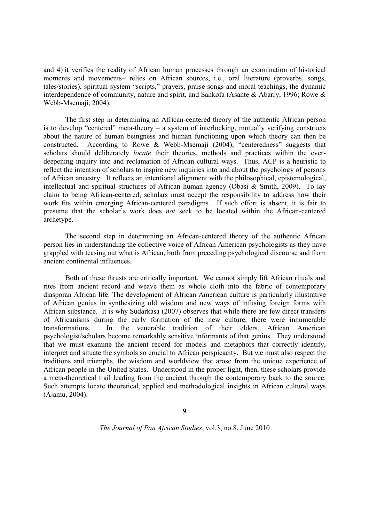and 4) it verifies the reality of African human processes through an examination of historical moments and movements– relies on African sources, i.e., oral literature (proverbs, songs, tales/stories), spiritual system "scripts," prayers, praise songs and moral teachings, the dynamic interdependence of community, nature and spirit, and Sankofa (Asante & Abarry, 1996; Rowe & Webb-Msemaji, 2004).

The first step in determining an African-centered theory of the authentic African person is to develop "centered" meta-theory – a system of interlocking, mutually verifying constructs about the nature of human beingness and human functioning upon which theory can then be constructed. According to Rowe & Webb-Msemaji (2004), "centeredness" suggests that scholars should deliberately *locate* their theories, methods and practices within the everdeepening inquiry into and reclamation of African cultural ways. Thus, ACP is a heuristic to reflect the intention of scholars to inspire new inquiries into and about the psychology of persons of African ancestry. It reflects an intentional alignment with the philosophical, epistemological, intellectual and spiritual structures of African human agency (Obasi & Smith, 2009). To lay claim to being African-centered, scholars must accept the responsibility to address how their work fits within emerging African-centered paradigms. If such effort is absent, it is fair to presume that the scholar's work does *not* seek to be located within the African-centered archetype.

The second step in determining an African-centered theory of the authentic African person lies in understanding the collective voice of African American psychologists as they have grappled with teasing out what is African, both from preceding psychological discourse and from ancient continental influences.

Both of these thrusts are critically important. We cannot simply lift African rituals and rites from ancient record and weave them as whole cloth into the fabric of contemporary diasporan African life. The development of African American culture is particularly illustrative of African genius in synthesizing old wisdom and new ways of infusing foreign forms with African substance. It is why Sudarkasa (2007) observes that while there are few direct transfers of Africanisms during the early formation of the new culture, there were innumerable transformations. In the venerable tradition of their elders, African American psychologist/scholars become remarkably sensitive informants of that genius. They understood that we must examine the ancient record for models and metaphors that correctly identify, interpret and situate the symbols so crucial to African perspicacity. But we must also respect the traditions and triumphs, the wisdom and worldview that arose from the unique experience of African people in the United States. Understood in the proper light, then, these scholars provide a meta-theoretical trail leading from the ancient through the contemporary back to the source. Such attempts locate theoretical, applied and methodological insights in African cultural ways (Ajamu, 2004).

**9**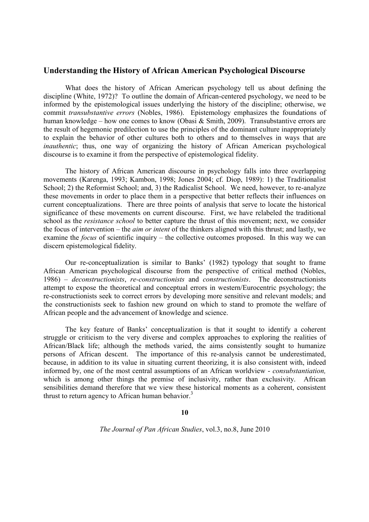## **Understanding the History of African American Psychological Discourse**

What does the history of African American psychology tell us about defining the discipline (White, 1972)? To outline the domain of African-centered psychology, we need to be informed by the epistemological issues underlying the history of the discipline; otherwise, we commit *transubstantive errors* (Nobles, 1986). Epistemology emphasizes the foundations of human knowledge – how one comes to know (Obasi & Smith, 2009). Transubstantive errors are the result of hegemonic predilection to use the principles of the dominant culture inappropriately to explain the behavior of other cultures both to others and to themselves in ways that are *inauthentic*; thus, one way of organizing the history of African American psychological discourse is to examine it from the perspective of epistemological fidelity.

The history of African American discourse in psychology falls into three overlapping movements (Karenga, 1993; Kambon, 1998; Jones 2004; cf. Diop, 1989): 1) the Traditionalist School; 2) the Reformist School; and, 3) the Radicalist School. We need, however, to re-analyze these movements in order to place them in a perspective that better reflects their influences on current conceptualizations. There are three points of analysis that serve to locate the historical significance of these movements on current discourse. First, we have relabeled the traditional school as the *resistance school* to better capture the thrust of this movement; next, we consider the focus of intervention – the *aim or intent* of the thinkers aligned with this thrust; and lastly, we examine the *focus* of scientific inquiry – the collective outcomes proposed. In this way we can discern epistemological fidelity.

Our re-conceptualization is similar to Banks' (1982) typology that sought to frame African American psychological discourse from the perspective of critical method (Nobles, 1986) – *deconstructionists*, *re-constructionists* and *constructionists*. The deconstructionists attempt to expose the theoretical and conceptual errors in western/Eurocentric psychology; the re-constructionists seek to correct errors by developing more sensitive and relevant models; and the constructionists seek to fashion new ground on which to stand to promote the welfare of African people and the advancement of knowledge and science.

The key feature of Banks' conceptualization is that it sought to identify a coherent struggle or criticism to the very diverse and complex approaches to exploring the realities of African/Black life; although the methods varied, the aims consistently sought to humanize persons of African descent. The importance of this re-analysis cannot be underestimated, because, in addition to its value in situating current theorizing, it is also consistent with, indeed informed by, one of the most central assumptions of an African worldview - *consubstantiation,* which is among other things the premise of inclusivity, rather than exclusivity. African sensibilities demand therefore that we view these historical moments as a coherent, consistent thrust to return agency to African human behavior.<sup>3</sup>

#### **10**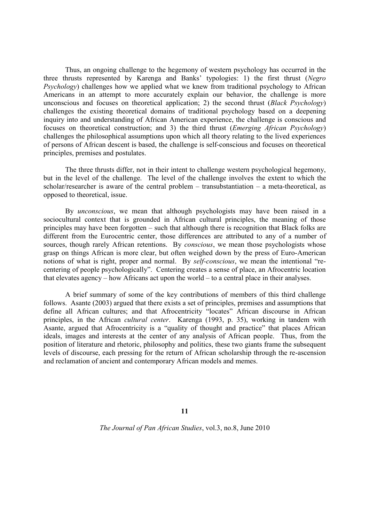Thus, an ongoing challenge to the hegemony of western psychology has occurred in the three thrusts represented by Karenga and Banks' typologies: 1) the first thrust (*Negro Psychology*) challenges how we applied what we knew from traditional psychology to African Americans in an attempt to more accurately explain our behavior, the challenge is more unconscious and focuses on theoretical application; 2) the second thrust (*Black Psychology*) challenges the existing theoretical domains of traditional psychology based on a deepening inquiry into and understanding of African American experience, the challenge is conscious and focuses on theoretical construction; and 3) the third thrust (*Emerging African Psychology*) challenges the philosophical assumptions upon which all theory relating to the lived experiences of persons of African descent is based, the challenge is self-conscious and focuses on theoretical principles, premises and postulates.

The three thrusts differ, not in their intent to challenge western psychological hegemony, but in the level of the challenge. The level of the challenge involves the extent to which the scholar/researcher is aware of the central problem – transubstantiation – a meta-theoretical, as opposed to theoretical, issue.

By *unconscious*, we mean that although psychologists may have been raised in a sociocultural context that is grounded in African cultural principles, the meaning of those principles may have been forgotten – such that although there is recognition that Black folks are different from the Eurocentric center, those differences are attributed to any of a number of sources, though rarely African retentions. By *conscious*, we mean those psychologists whose grasp on things African is more clear, but often weighed down by the press of Euro-American notions of what is right, proper and normal. By *self-conscious*, we mean the intentional "recentering of people psychologically". Centering creates a sense of place, an Afrocentric location that elevates agency – how Africans act upon the world – to a central place in their analyses.

A brief summary of some of the key contributions of members of this third challenge follows. Asante (2003) argued that there exists a set of principles, premises and assumptions that define all African cultures; and that Afrocentricity "locates" African discourse in African principles, in the African *cultural center*. Karenga (1993, p. 35), working in tandem with Asante, argued that Afrocentricity is a "quality of thought and practice" that places African ideals, images and interests at the center of any analysis of African people. Thus, from the position of literature and rhetoric, philosophy and politics, these two giants frame the subsequent levels of discourse, each pressing for the return of African scholarship through the re-ascension and reclamation of ancient and contemporary African models and memes.

**11**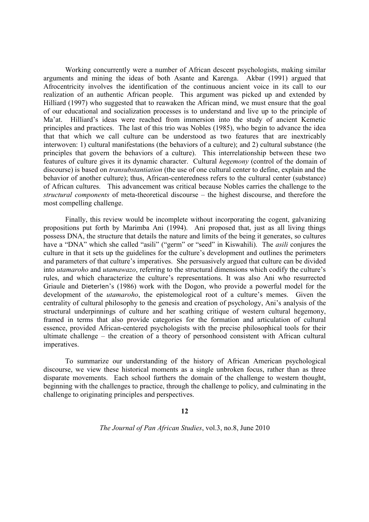Working concurrently were a number of African descent psychologists, making similar arguments and mining the ideas of both Asante and Karenga. Akbar (1991) argued that Afrocentricity involves the identification of the continuous ancient voice in its call to our realization of an authentic African people. This argument was picked up and extended by Hilliard (1997) who suggested that to reawaken the African mind, we must ensure that the goal of our educational and socialization processes is to understand and live up to the principle of Ma'at. Hilliard's ideas were reached from immersion into the study of ancient Kemetic principles and practices. The last of this trio was Nobles (1985), who begin to advance the idea that that which we call culture can be understood as two features that are inextricably interwoven: 1) cultural manifestations (the behaviors of a culture); and 2) cultural substance (the principles that govern the behaviors of a culture). This interrelationship between these two features of culture gives it its dynamic character. Cultural *hegemony* (control of the domain of discourse) is based on *transubstantiation* (the use of one cultural center to define, explain and the behavior of another culture); thus, African-centeredness refers to the cultural center (substance) of African cultures. This advancement was critical because Nobles carries the challenge to the *structural components* of meta-theoretical discourse – the highest discourse, and therefore the most compelling challenge.

Finally, this review would be incomplete without incorporating the cogent, galvanizing propositions put forth by Marimba Ani (1994). Ani proposed that, just as all living things possess DNA, the structure that details the nature and limits of the being it generates, so cultures have a "DNA" which she called "asili" ("germ" or "seed" in Kiswahili). The *asili* conjures the culture in that it sets up the guidelines for the culture's development and outlines the perimeters and parameters of that culture's imperatives. She persuasively argued that culture can be divided into *utamaroho* and *utamawazo*, referring to the structural dimensions which codify the culture's rules, and which characterize the culture's representations. It was also Ani who resurrected Griaule and Dieterlen's (1986) work with the Dogon, who provide a powerful model for the development of the *utamaroho*, the epistemological root of a culture's memes. Given the centrality of cultural philosophy to the genesis and creation of psychology, Ani's analysis of the structural underpinnings of culture and her scathing critique of western cultural hegemony, framed in terms that also provide categories for the formation and articulation of cultural essence, provided African-centered psychologists with the precise philosophical tools for their ultimate challenge – the creation of a theory of personhood consistent with African cultural imperatives.

To summarize our understanding of the history of African American psychological discourse, we view these historical moments as a single unbroken focus, rather than as three disparate movements. Each school furthers the domain of the challenge to western thought, beginning with the challenges to practice, through the challenge to policy, and culminating in the challenge to originating principles and perspectives.

## **12**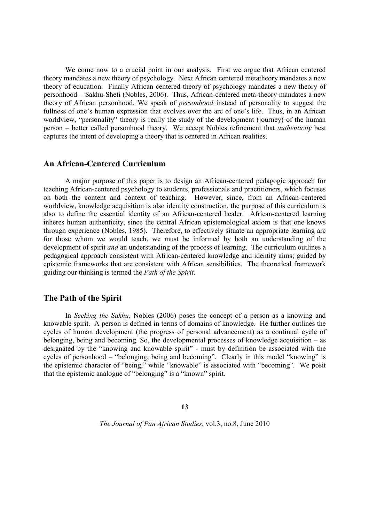We come now to a crucial point in our analysis. First we argue that African centered theory mandates a new theory of psychology. Next African centered metatheory mandates a new theory of education. Finally African centered theory of psychology mandates a new theory of personhood – Sakhu-Sheti (Nobles, 2006). Thus, African-centered meta-theory mandates a new theory of African personhood. We speak of *personhood* instead of personality to suggest the fullness of one's human expression that evolves over the arc of one's life. Thus, in an African worldview, "personality" theory is really the study of the development (journey) of the human person – better called personhood theory. We accept Nobles refinement that *authenticity* best captures the intent of developing a theory that is centered in African realities.

# **An African-Centered Curriculum**

A major purpose of this paper is to design an African-centered pedagogic approach for teaching African-centered psychology to students, professionals and practitioners, which focuses on both the content and context of teaching. However, since, from an African-centered worldview, knowledge acquisition is also identity construction, the purpose of this curriculum is also to define the essential identity of an African-centered healer. African-centered learning inheres human authenticity, since the central African epistemological axiom is that one knows through experience (Nobles, 1985). Therefore, to effectively situate an appropriate learning arc for those whom we would teach, we must be informed by both an understanding of the development of spirit *and* an understanding of the process of learning. The curriculum outlines a pedagogical approach consistent with African-centered knowledge and identity aims; guided by epistemic frameworks that are consistent with African sensibilities. The theoretical framework guiding our thinking is termed the *Path of the Spirit*.

# **The Path of the Spirit**

In *Seeking the Sakhu*, Nobles (2006) poses the concept of a person as a knowing and knowable spirit. A person is defined in terms of domains of knowledge. He further outlines the cycles of human development (the progress of personal advancement) as a continual cycle of belonging, being and becoming. So, the developmental processes of knowledge acquisition – as designated by the "knowing and knowable spirit" - must by definition be associated with the cycles of personhood – "belonging, being and becoming". Clearly in this model "knowing" is the epistemic character of "being," while "knowable" is associated with "becoming". We posit that the epistemic analogue of "belonging" is a "known" spirit.

**13**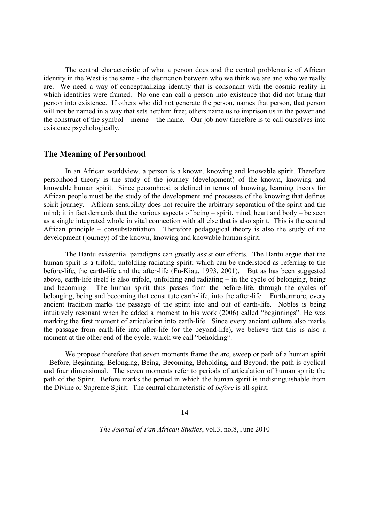The central characteristic of what a person does and the central problematic of African identity in the West is the same - the distinction between who we think we are and who we really are. We need a way of conceptualizing identity that is consonant with the cosmic reality in which identities were framed. No one can call a person into existence that did not bring that person into existence. If others who did not generate the person, names that person, that person will not be named in a way that sets her/him free; others name us to imprison us in the power and the construct of the symbol – meme – the name. Our job now therefore is to call ourselves into existence psychologically.

## **The Meaning of Personhood**

In an African worldview, a person is a known, knowing and knowable spirit. Therefore personhood theory is the study of the journey (development) of the known, knowing and knowable human spirit. Since personhood is defined in terms of knowing, learning theory for African people must be the study of the development and processes of the knowing that defines spirit journey. African sensibility does not require the arbitrary separation of the spirit and the mind; it in fact demands that the various aspects of being – spirit, mind, heart and body – be seen as a single integrated whole in vital connection with all else that is also spirit. This is the central African principle – consubstantiation. Therefore pedagogical theory is also the study of the development (journey) of the known, knowing and knowable human spirit.

The Bantu existential paradigms can greatly assist our efforts. The Bantu argue that the human spirit is a trifold, unfolding radiating spirit; which can be understood as referring to the before-life, the earth-life and the after-life (Fu-Kiau, 1993, 2001). But as has been suggested above, earth-life itself is also trifold, unfolding and radiating – in the cycle of belonging, being and becoming. The human spirit thus passes from the before-life, through the cycles of belonging, being and becoming that constitute earth-life, into the after-life. Furthermore, every ancient tradition marks the passage of the spirit into and out of earth-life. Nobles is being intuitively resonant when he added a moment to his work (2006) called "beginnings". He was marking the first moment of articulation into earth-life. Since every ancient culture also marks the passage from earth-life into after-life (or the beyond-life), we believe that this is also a moment at the other end of the cycle, which we call "beholding".

We propose therefore that seven moments frame the arc, sweep or path of a human spirit – Before, Beginning, Belonging, Being, Becoming, Beholding, and Beyond; the path is cyclical and four dimensional. The seven moments refer to periods of articulation of human spirit: the path of the Spirit. Before marks the period in which the human spirit is indistinguishable from the Divine or Supreme Spirit. The central characteristic of *before* is all-spirit.

#### **14**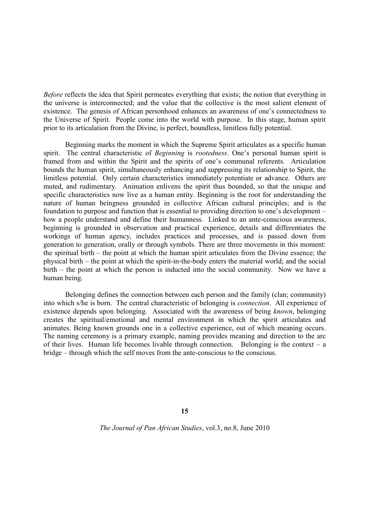*Before* reflects the idea that Spirit permeates everything that exists; the notion that everything in the universe is interconnected; and the value that the collective is the most salient element of existence. The genesis of African personhood enhances an awareness of one's connectedness to the Universe of Spirit. People come into the world with purpose. In this stage, human spirit prior to its articulation from the Divine, is perfect, boundless, limitless fully potential.

Beginning marks the moment in which the Supreme Spirit articulates as a specific human spirit. The central characteristic of *Beginning* is *rootedness*. One's personal human spirit is framed from and within the Spirit and the spirits of one's communal referents. Articulation bounds the human spirit, simultaneously enhancing and suppressing its relationship to Spirit, the limitless potential. Only certain characteristics immediately potentiate or advance. Others are muted, and rudimentary. Animation enlivens the spirit thus bounded, so that the unique and specific characteristics now live as a human entity. Beginning is the root for understanding the nature of human beingness grounded in collective African cultural principles; and is the foundation to purpose and function that is essential to providing direction to one's development – how a people understand and define their humanness. Linked to an ante-conscious awareness, beginning is grounded in observation and practical experience, details and differentiates the workings of human agency, includes practices and processes, and is passed down from generation to generation, orally or through symbols. There are three movements in this moment: the spiritual birth – the point at which the human spirit articulates from the Divine essence; the physical birth – the point at which the spirit-in-the-body enters the material world; and the social birth – the point at which the person is inducted into the social community. Now we have a human being.

Belonging defines the connection between each person and the family (clan; community) into which s/he is born. The central characteristic of belonging is *connection*. All experience of existence depends upon belonging. Associated with the awareness of being *known*, belonging creates the spiritual/emotional and mental environment in which the spirit articulates and animates. Being known grounds one in a collective experience, out of which meaning occurs. The naming ceremony is a primary example, naming provides meaning and direction to the arc of their lives. Human life becomes livable through connection. Belonging is the context – a bridge – through which the self moves from the ante-conscious to the conscious.

**15**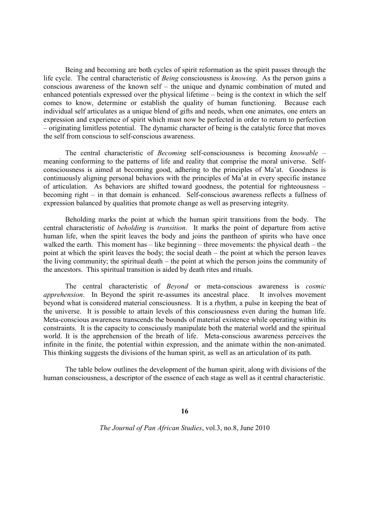Being and becoming are both cycles of spirit reformation as the spirit passes through the life cycle. The central characteristic of *Being* consciousness is *knowing*. As the person gains a conscious awareness of the known self – the unique and dynamic combination of muted and enhanced potentials expressed over the physical lifetime – being is the context in which the self comes to know, determine or establish the quality of human functioning. Because each individual self articulates as a unique blend of gifts and needs, when one animates, one enters an expression and experience of spirit which must now be perfected in order to return to perfection – originating limitless potential. The dynamic character of being is the catalytic force that moves the self from conscious to self-conscious awareness.

The central characteristic of *Becoming* self-consciousness is becoming *knowable* – meaning conforming to the patterns of life and reality that comprise the moral universe. Selfconsciousness is aimed at becoming good, adhering to the principles of Ma'at. Goodness is continuously aligning personal behaviors with the principles of Ma'at in every specific instance of articulation. As behaviors are shifted toward goodness, the potential for righteousness – becoming right – in that domain is enhanced. Self-conscious awareness reflects a fullness of expression balanced by qualities that promote change as well as preserving integrity.

Beholding marks the point at which the human spirit transitions from the body. The central characteristic of *beholding* is *transition*. It marks the point of departure from active human life, when the spirit leaves the body and joins the pantheon of spirits who have once walked the earth. This moment has – like beginning – three movements: the physical death – the point at which the spirit leaves the body; the social death – the point at which the person leaves the living community; the spiritual death – the point at which the person joins the community of the ancestors. This spiritual transition is aided by death rites and rituals.

The central characteristic of *Beyond* or meta-conscious awareness is *cosmic apprehension*. In Beyond the spirit re-assumes its ancestral place. It involves movement beyond what is considered material consciousness. It is a rhythm, a pulse in keeping the beat of the universe. It is possible to attain levels of this consciousness even during the human life. Meta-conscious awareness transcends the bounds of material existence while operating within its constraints. It is the capacity to consciously manipulate both the material world and the spiritual world. It is the apprehension of the breath of life. Meta-conscious awareness perceives the infinite in the finite, the potential within expression, and the animate within the non-animated. This thinking suggests the divisions of the human spirit, as well as an articulation of its path.

The table below outlines the development of the human spirit, along with divisions of the human consciousness, a descriptor of the essence of each stage as well as it central characteristic.

#### **16**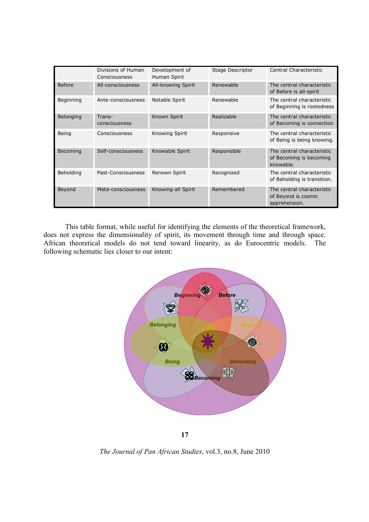|           | Divisions of Human<br>Consciousness | Development of<br>Human Spirit | Stage Descriptor | Central Characteristic                                             |
|-----------|-------------------------------------|--------------------------------|------------------|--------------------------------------------------------------------|
| Before    | All-consciousness                   | All-knowing Spirit             | Renewable        | The central characteristic<br>of Before is all-spirit              |
| Beginning | Ante-consciousness                  | Notable Spirit                 | Renewable        | The central characteristic<br>of Beginning is rootedness           |
| Belonging | Trans-<br>consciousness             | Known Spirit                   | Realizable       | The central characteristic<br>of Becoming is connection            |
| Being     | Consciousness                       | Knowing Spirit                 | Responsive       | The central characteristic<br>of Being is being knowing.           |
| Becoming  | Self-consciousness                  | Knowable Spirit                | Responsible      | The central characteristic<br>of Becoming is becoming<br>knowable. |
| Beholding | Past-Consciousness                  | Renown Spirit                  | Recognized       | The central characteristic<br>of Beholding is transition.          |
| Beyond    | Meta-consciousness                  | Knowing-all Spirit             | Remembered       | The central characteristic<br>of Beyond is cosmic<br>apprehension. |

This table format, while useful for identifying the elements of the theoretical framework, does not express the dimensionality of spirit, its movement through time and through space. African theoretical models do not tend toward linearity, as do Eurocentric models. The following schematic lies closer to our intent:



**17**

*The Journal of Pan African Studies*, vol.3, no.8, June 2010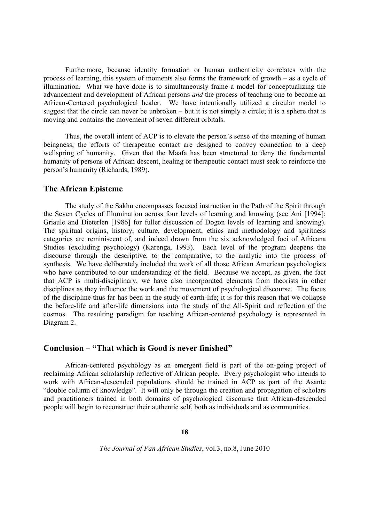Furthermore, because identity formation or human authenticity correlates with the process of learning, this system of moments also forms the framework of growth – as a cycle of illumination. What we have done is to simultaneously frame a model for conceptualizing the advancement and development of African persons *and* the process of teaching one to become an African-Centered psychological healer. We have intentionally utilized a circular model to suggest that the circle can never be unbroken – but it is not simply a circle; it is a sphere that is moving and contains the movement of seven different orbitals.

Thus, the overall intent of ACP is to elevate the person's sense of the meaning of human beingness; the efforts of therapeutic contact are designed to convey connection to a deep wellspring of humanity. Given that the Maafa has been structured to deny the fundamental humanity of persons of African descent, healing or therapeutic contact must seek to reinforce the person's humanity (Richards, 1989).

# **The African Episteme**

The study of the Sakhu encompasses focused instruction in the Path of the Spirit through the Seven Cycles of Illumination across four levels of learning and knowing (see Ani [1994]; Griaule and Dieterlen [1986] for fuller discussion of Dogon levels of learning and knowing). The spiritual origins, history, culture, development, ethics and methodology and spiritness categories are reminiscent of, and indeed drawn from the six acknowledged foci of Africana Studies (excluding psychology) (Karenga, 1993). Each level of the program deepens the discourse through the descriptive, to the comparative, to the analytic into the process of synthesis. We have deliberately included the work of all those African American psychologists who have contributed to our understanding of the field. Because we accept, as given, the fact that ACP is multi-disciplinary, we have also incorporated elements from theorists in other disciplines as they influence the work and the movement of psychological discourse. The focus of the discipline thus far has been in the study of earth-life; it is for this reason that we collapse the before-life and after-life dimensions into the study of the All-Spirit and reflection of the cosmos. The resulting paradigm for teaching African-centered psychology is represented in Diagram 2.

# **Conclusion – "That which is Good is never finished"**

African-centered psychology as an emergent field is part of the on-going project of reclaiming African scholarship reflective of African people. Every psychologist who intends to work with African-descended populations should be trained in ACP as part of the Asante "double column of knowledge". It will only be through the creation and propagation of scholars and practitioners trained in both domains of psychological discourse that African-descended people will begin to reconstruct their authentic self, both as individuals and as communities.

### **18**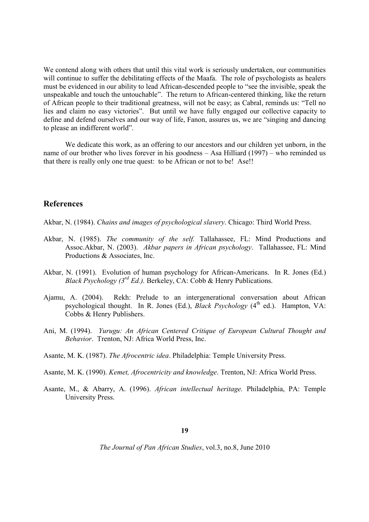We contend along with others that until this vital work is seriously undertaken, our communities will continue to suffer the debilitating effects of the Maafa. The role of psychologists as healers must be evidenced in our ability to lead African-descended people to "see the invisible, speak the unspeakable and touch the untouchable". The return to African-centered thinking, like the return of African people to their traditional greatness, will not be easy; as Cabral, reminds us: "Tell no lies and claim no easy victories". But until we have fully engaged our collective capacity to define and defend ourselves and our way of life, Fanon, assures us, we are "singing and dancing to please an indifferent world".

We dedicate this work, as an offering to our ancestors and our children yet unborn, in the name of our brother who lives forever in his goodness – Asa Hilliard (1997) – who reminded us that there is really only one true quest: to be African or not to be! Ase!!

# **References**

Akbar, N. (1984). *Chains and images of psychological slavery*. Chicago: Third World Press.

- Akbar, N. (1985). *The community of the self.* Tallahassee, FL: Mind Productions and Assoc.Akbar, N. (2003). *Akbar papers in African psychology*. Tallahassee, FL: Mind Productions & Associates, Inc.
- Akbar, N. (1991). Evolution of human psychology for African-Americans. In R. Jones (Ed.) *Black Psychology (3rd Ed.).* Berkeley, CA: Cobb & Henry Publications.
- Ajamu, A. (2004). Rekh: Prelude to an intergenerational conversation about African psychological thought. In R. Jones (Ed.), *Black Psychology* (4<sup>th</sup> ed.). Hampton, VA: Cobbs & Henry Publishers.
- Ani, M. (1994). *Yurugu: An African Centered Critique of European Cultural Thought and Behavior*. Trenton, NJ: Africa World Press, Inc.
- Asante, M. K. (1987). *The Afrocentric idea*. Philadelphia: Temple University Press.
- Asante, M. K. (1990). *Kemet, Afrocentricity and knowledge*. Trenton, NJ: Africa World Press.
- Asante, M., & Abarry, A. (1996). *African intellectual heritage.* Philadelphia, PA: Temple University Press.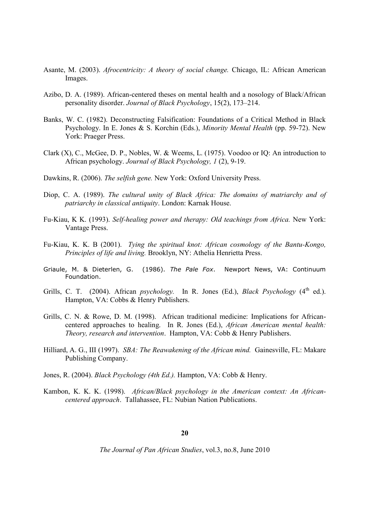- Asante, M. (2003). *Afrocentricity: A theory of social change.* Chicago, IL: African American Images.
- Azibo, D. A. (1989). African-centered theses on mental health and a nosology of Black/African personality disorder. *Journal of Black Psychology*, 15(2), 173–214.
- Banks, W. C. (1982). Deconstructing Falsification: Foundations of a Critical Method in Black Psychology. In E. Jones & S. Korchin (Eds.), *Minority Mental Health* (pp. 59-72). New York: Praeger Press.
- Clark (X), C., McGee, D. P., Nobles, W. & Weems, L. (1975). Voodoo or IQ: An introduction to African psychology. *Journal of Black Psychology, 1* (2), 9-19.
- Dawkins, R. (2006). *The selfish gene.* New York: Oxford University Press.
- Diop, C. A. (1989). *The cultural unity of Black Africa: The domains of matriarchy and of patriarchy in classical antiquity*. London: Karnak House.
- Fu-Kiau, K K. (1993). *Self-healing power and therapy: Old teachings from Africa.* New York: Vantage Press.
- Fu-Kiau, K. K. B (2001). *Tying the spiritual knot: African cosmology of the Bantu-Kongo, Principles of life and living.* Brooklyn, NY: Athelia Henrietta Press.
- Griaule, M. & Dieterlen, G. (1986). *The Pale Fox*. Newport News, VA: Continuum Foundation.
- Grills, C. T.  $(2004)$ . African *psychology*. In R. Jones (Ed.), *Black Psychology*  $(4<sup>th</sup>$  ed.). Hampton, VA: Cobbs & Henry Publishers.
- Grills, C. N. & Rowe, D. M. (1998). African traditional medicine: Implications for Africancentered approaches to healing. In R. Jones (Ed.), *African American mental health: Theory, research and intervention*. Hampton, VA: Cobb & Henry Publishers.
- Hilliard, A. G., III (1997). *SBA: The Reawakening of the African mind.* Gainesville, FL: Makare Publishing Company.
- Jones, R. (2004). *Black Psychology (4th Ed.).* Hampton, VA: Cobb & Henry.
- Kambon, K. K. K. (1998). *African/Black psychology in the American context: An Africancentered approach*. Tallahassee, FL: Nubian Nation Publications.

# **20**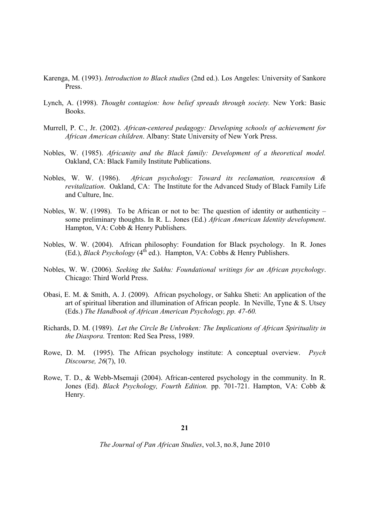- Karenga, M. (1993). *Introduction to Black studies* (2nd ed.). Los Angeles: University of Sankore Press.
- Lynch, A. (1998). *Thought contagion: how belief spreads through society.* New York: Basic Books.
- Murrell, P. C., Jr. (2002). *African-centered pedagogy: Developing schools of achievement for African American children*. Albany: State University of New York Press.
- Nobles, W. (1985). *Africanity and the Black family: Development of a theoretical model.* Oakland, CA: Black Family Institute Publications.
- Nobles, W. W. (1986). *African psychology: Toward its reclamation, reascension & revitalization*. Oakland, CA: The Institute for the Advanced Study of Black Family Life and Culture, Inc.
- Nobles, W. W. (1998). To be African or not to be: The question of identity or authenticity some preliminary thoughts. In R. L. Jones (Ed.) *African American Identity development*. Hampton, VA: Cobb & Henry Publishers.
- Nobles, W. W. (2004). African philosophy: Foundation for Black psychology. In R. Jones (Ed.), *Black Psychology* ( $4<sup>th</sup>$  ed.). Hampton, VA: Cobbs & Henry Publishers.
- Nobles, W. W. (2006). *Seeking the Sakhu: Foundational writings for an African psychology*. Chicago: Third World Press.
- Obasi, E. M. & Smith, A. J. (2009). African psychology, or Sahku Sheti: An application of the art of spiritual liberation and illumination of African people. In Neville, Tyne  $\&$  S. Utsey (Eds.) *The Handbook of African American Psychology, pp. 47-60.*
- Richards, D. M. (1989). *Let the Circle Be Unbroken: The Implications of African Spirituality in the Diaspora.* Trenton: Red Sea Press, 1989.
- Rowe, D. M. (1995). The African psychology institute: A conceptual overview. *Psych Discourse, 26*(7), 10.
- Rowe, T. D., & Webb-Msemaji (2004). African-centered psychology in the community. In R. Jones (Ed). *Black Psychology, Fourth Edition.* pp. 701-721. Hampton, VA: Cobb & Henry.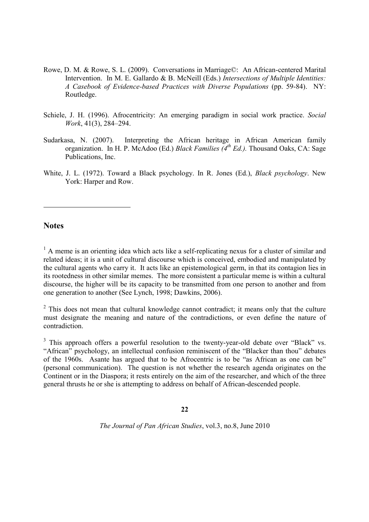- Rowe, D. M. & Rowe, S. L. (2009). Conversations in Marriage©: An African-centered Marital Intervention. In M. E. Gallardo & B. McNeill (Eds.) *Intersections of Multiple Identities: A Casebook of Evidence-based Practices with Diverse Populations* (pp. 59-84). NY: Routledge.
- Schiele, J. H. (1996). Afrocentricity: An emerging paradigm in social work practice. *Social Work*, 41(3), 284–294.
- Sudarkasa, N. (2007). Interpreting the African heritage in African American family organization. In H. P. McAdoo (Ed.) *Black Families (4th Ed.).* Thousand Oaks, CA: Sage Publications, Inc.
- White, J. L. (1972). Toward a Black psychology. In R. Jones (Ed.), *Black psychology*. New York: Harper and Row.

## **Notes**

<sup>1</sup> A meme is an orienting idea which acts like a self-replicating nexus for a cluster of similar and related ideas; it is a unit of cultural discourse which is conceived, embodied and manipulated by the cultural agents who carry it. It acts like an epistemological germ, in that its contagion lies in its rootedness in other similar memes. The more consistent a particular meme is within a cultural discourse, the higher will be its capacity to be transmitted from one person to another and from one generation to another (See Lynch, 1998; Dawkins, 2006).

 $2$  This does not mean that cultural knowledge cannot contradict; it means only that the culture must designate the meaning and nature of the contradictions, or even define the nature of contradiction.

<sup>3</sup> This approach offers a powerful resolution to the twenty-year-old debate over "Black" vs. "African" psychology, an intellectual confusion reminiscent of the "Blacker than thou" debates of the 1960s. Asante has argued that to be Afrocentric is to be "as African as one can be" (personal communication). The question is not whether the research agenda originates on the Continent or in the Diaspora; it rests entirely on the aim of the researcher, and which of the three general thrusts he or she is attempting to address on behalf of African-descended people.

#### **22**